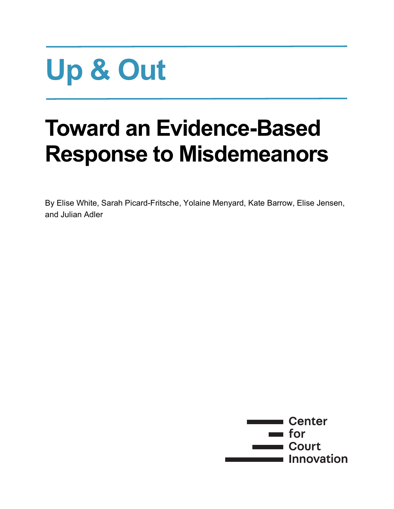# **Up & Out**

## **Toward an Evidence-Based Response to Misdemeanors**

By Elise White, Sarah Picard-Fritsche, Yolaine Menyard, Kate Barrow, Elise Jensen, and Julian Adler

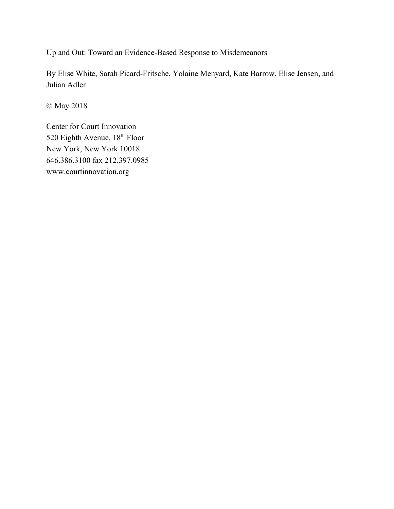Up and Out: Toward an Evidence-Based Response to Misdemeanors

By Elise White, Sarah Picard-Fritsche, Yolaine Menyard, Kate Barrow, Elise Jensen, and Julian Adler

© May 2018

Center for Court Innovation 520 Eighth Avenue, 18<sup>th</sup> Floor New York, New York 10018 646.386.3100 fax 212.397.0985 www.courtinnovation.org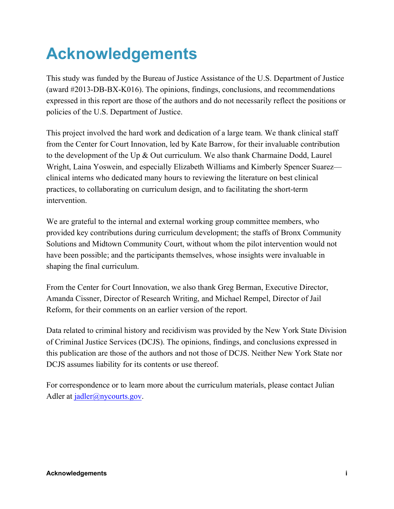## **Acknowledgements**

This study was funded by the Bureau of Justice Assistance of the U.S. Department of Justice (award #2013-DB-BX-K016). The opinions, findings, conclusions, and recommendations expressed in this report are those of the authors and do not necessarily reflect the positions or policies of the U.S. Department of Justice.

This project involved the hard work and dedication of a large team. We thank clinical staff from the Center for Court Innovation, led by Kate Barrow, for their invaluable contribution to the development of the Up & Out curriculum. We also thank Charmaine Dodd, Laurel Wright, Laina Yoswein, and especially Elizabeth Williams and Kimberly Spencer Suarez clinical interns who dedicated many hours to reviewing the literature on best clinical practices, to collaborating on curriculum design, and to facilitating the short-term intervention.

We are grateful to the internal and external working group committee members, who provided key contributions during curriculum development; the staffs of Bronx Community Solutions and Midtown Community Court, without whom the pilot intervention would not have been possible; and the participants themselves, whose insights were invaluable in shaping the final curriculum.

From the Center for Court Innovation, we also thank Greg Berman, Executive Director, Amanda Cissner, Director of Research Writing, and Michael Rempel, Director of Jail Reform, for their comments on an earlier version of the report.

Data related to criminal history and recidivism was provided by the New York State Division of Criminal Justice Services (DCJS). The opinions, findings, and conclusions expressed in this publication are those of the authors and not those of DCJS. Neither New York State nor DCJS assumes liability for its contents or use thereof.

For correspondence or to learn more about the curriculum materials, please contact Julian Adler at *jadler@nycourts.gov.*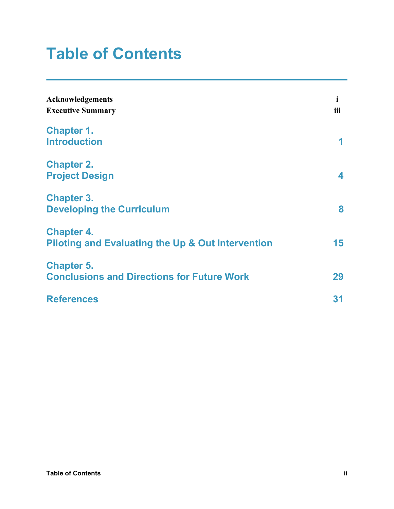## **Table of Contents**

| Acknowledgements<br><b>Executive Summary</b>                                      | i<br>iii |  |
|-----------------------------------------------------------------------------------|----------|--|
| <b>Chapter 1.</b><br><b>Introduction</b>                                          | 1        |  |
| <b>Chapter 2.</b><br><b>Project Design</b>                                        | 4        |  |
| <b>Chapter 3.</b><br><b>Developing the Curriculum</b>                             | 8        |  |
| <b>Chapter 4.</b><br><b>Piloting and Evaluating the Up &amp; Out Intervention</b> | 15       |  |
| <b>Chapter 5.</b><br><b>Conclusions and Directions for Future Work</b>            | 29       |  |
| <b>References</b>                                                                 | 31       |  |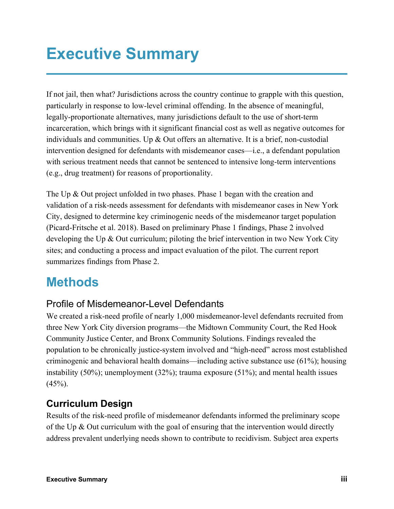## **Executive Summary**

If not jail, then what? Jurisdictions across the country continue to grapple with this question, particularly in response to low-level criminal offending. In the absence of meaningful, legally-proportionate alternatives, many jurisdictions default to the use of short-term incarceration, which brings with it significant financial cost as well as negative outcomes for individuals and communities. Up & Out offers an alternative. It is a brief, non-custodial intervention designed for defendants with misdemeanor cases—i.e., a defendant population with serious treatment needs that cannot be sentenced to intensive long-term interventions (e.g., drug treatment) for reasons of proportionality.

The Up & Out project unfolded in two phases. Phase 1 began with the creation and validation of a risk-needs assessment for defendants with misdemeanor cases in New York City, designed to determine key criminogenic needs of the misdemeanor target population (Picard-Fritsche et al. 2018). Based on preliminary Phase 1 findings, Phase 2 involved developing the Up & Out curriculum; piloting the brief intervention in two New York City sites; and conducting a process and impact evaluation of the pilot. The current report summarizes findings from Phase 2.

## **Methods**

#### Profile of Misdemeanor-Level Defendants

We created a risk-need profile of nearly 1,000 misdemeanor-level defendants recruited from three New York City diversion programs—the Midtown Community Court, the Red Hook Community Justice Center, and Bronx Community Solutions. Findings revealed the population to be chronically justice-system involved and "high-need" across most established criminogenic and behavioral health domains—including active substance use (61%); housing instability (50%); unemployment (32%); trauma exposure (51%); and mental health issues  $(45\%)$ .

#### **Curriculum Design**

Results of the risk-need profile of misdemeanor defendants informed the preliminary scope of the Up & Out curriculum with the goal of ensuring that the intervention would directly address prevalent underlying needs shown to contribute to recidivism. Subject area experts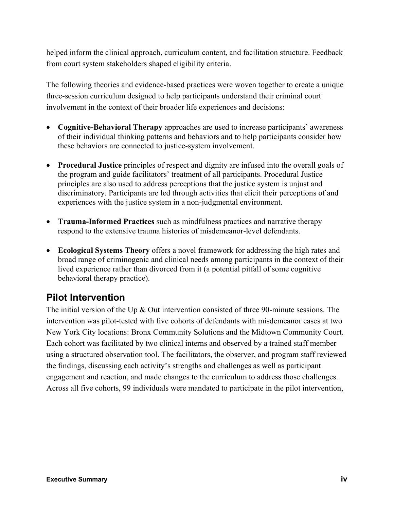helped inform the clinical approach, curriculum content, and facilitation structure. Feedback from court system stakeholders shaped eligibility criteria.

The following theories and evidence-based practices were woven together to create a unique three-session curriculum designed to help participants understand their criminal court involvement in the context of their broader life experiences and decisions:

- **Cognitive-Behavioral Therapy** approaches are used to increase participants' awareness of their individual thinking patterns and behaviors and to help participants consider how these behaviors are connected to justice-system involvement.
- **Procedural Justice** principles of respect and dignity are infused into the overall goals of the program and guide facilitators' treatment of all participants. Procedural Justice principles are also used to address perceptions that the justice system is unjust and discriminatory. Participants are led through activities that elicit their perceptions of and experiences with the justice system in a non-judgmental environment.
- **Trauma-Informed Practices** such as mindfulness practices and narrative therapy respond to the extensive trauma histories of misdemeanor-level defendants.
- **Ecological Systems Theory** offers a novel framework for addressing the high rates and broad range of criminogenic and clinical needs among participants in the context of their lived experience rather than divorced from it (a potential pitfall of some cognitive behavioral therapy practice).

#### **Pilot Intervention**

The initial version of the Up & Out intervention consisted of three 90-minute sessions. The intervention was pilot-tested with five cohorts of defendants with misdemeanor cases at two New York City locations: Bronx Community Solutions and the Midtown Community Court. Each cohort was facilitated by two clinical interns and observed by a trained staff member using a structured observation tool. The facilitators, the observer, and program staff reviewed the findings, discussing each activity's strengths and challenges as well as participant engagement and reaction, and made changes to the curriculum to address those challenges. Across all five cohorts, 99 individuals were mandated to participate in the pilot intervention,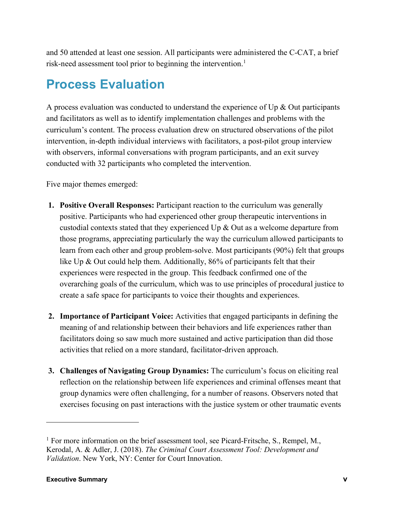and 50 attended at least one session. All participants were administered the C-CAT, a brief risk-need assessment tool prior to beginning the intervention. 1

## **Process Evaluation**

A process evaluation was conducted to understand the experience of  $Up & Out$  participants and facilitators as well as to identify implementation challenges and problems with the curriculum's content. The process evaluation drew on structured observations of the pilot intervention, in-depth individual interviews with facilitators, a post-pilot group interview with observers, informal conversations with program participants, and an exit survey conducted with 32 participants who completed the intervention.

Five major themes emerged:

- **1. Positive Overall Responses:** Participant reaction to the curriculum was generally positive. Participants who had experienced other group therapeutic interventions in custodial contexts stated that they experienced Up & Out as a welcome departure from those programs, appreciating particularly the way the curriculum allowed participants to learn from each other and group problem-solve. Most participants (90%) felt that groups like Up & Out could help them. Additionally, 86% of participants felt that their experiences were respected in the group. This feedback confirmed one of the overarching goals of the curriculum, which was to use principles of procedural justice to create a safe space for participants to voice their thoughts and experiences.
- **2. Importance of Participant Voice:** Activities that engaged participants in defining the meaning of and relationship between their behaviors and life experiences rather than facilitators doing so saw much more sustained and active participation than did those activities that relied on a more standard, facilitator-driven approach.
- **3. Challenges of Navigating Group Dynamics:** The curriculum's focus on eliciting real reflection on the relationship between life experiences and criminal offenses meant that group dynamics were often challenging, for a number of reasons. Observers noted that exercises focusing on past interactions with the justice system or other traumatic events

<sup>&</sup>lt;sup>1</sup> For more information on the brief assessment tool, see Picard-Fritsche, S., Rempel, M., Kerodal, A. & Adler, J. (2018). *The Criminal Court Assessment Tool: Development and Validation*. New York, NY: Center for Court Innovation.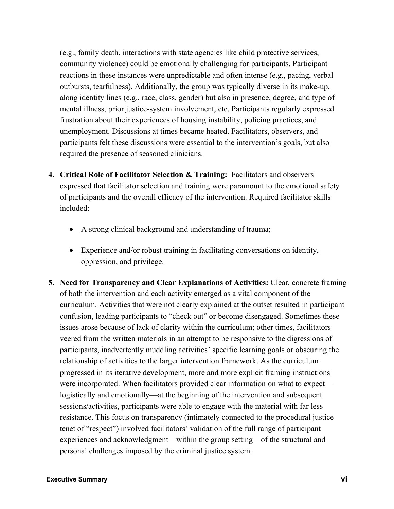(e.g., family death, interactions with state agencies like child protective services, community violence) could be emotionally challenging for participants. Participant reactions in these instances were unpredictable and often intense (e.g., pacing, verbal outbursts, tearfulness). Additionally, the group was typically diverse in its make-up, along identity lines (e.g., race, class, gender) but also in presence, degree, and type of mental illness, prior justice-system involvement, etc. Participants regularly expressed frustration about their experiences of housing instability, policing practices, and unemployment. Discussions at times became heated. Facilitators, observers, and participants felt these discussions were essential to the intervention's goals, but also required the presence of seasoned clinicians.

- **4. Critical Role of Facilitator Selection & Training:** Facilitators and observers expressed that facilitator selection and training were paramount to the emotional safety of participants and the overall efficacy of the intervention. Required facilitator skills included:
	- A strong clinical background and understanding of trauma;
	- Experience and/or robust training in facilitating conversations on identity, oppression, and privilege.
- **5. Need for Transparency and Clear Explanations of Activities:** Clear, concrete framing of both the intervention and each activity emerged as a vital component of the curriculum. Activities that were not clearly explained at the outset resulted in participant confusion, leading participants to "check out" or become disengaged. Sometimes these issues arose because of lack of clarity within the curriculum; other times, facilitators veered from the written materials in an attempt to be responsive to the digressions of participants, inadvertently muddling activities' specific learning goals or obscuring the relationship of activities to the larger intervention framework. As the curriculum progressed in its iterative development, more and more explicit framing instructions were incorporated. When facilitators provided clear information on what to expect logistically and emotionally—at the beginning of the intervention and subsequent sessions/activities, participants were able to engage with the material with far less resistance. This focus on transparency (intimately connected to the procedural justice tenet of "respect") involved facilitators' validation of the full range of participant experiences and acknowledgment—within the group setting—of the structural and personal challenges imposed by the criminal justice system.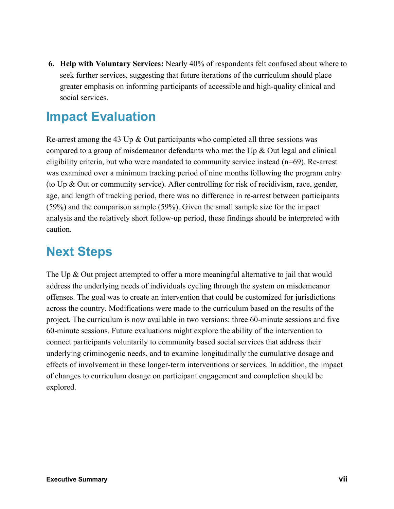**6. Help with Voluntary Services:** Nearly 40% of respondents felt confused about where to seek further services, suggesting that future iterations of the curriculum should place greater emphasis on informing participants of accessible and high-quality clinical and social services.

## **Impact Evaluation**

Re-arrest among the 43 Up & Out participants who completed all three sessions was compared to a group of misdemeanor defendants who met the Up & Out legal and clinical eligibility criteria, but who were mandated to community service instead (n=69). Re-arrest was examined over a minimum tracking period of nine months following the program entry (to Up & Out or community service). After controlling for risk of recidivism, race, gender, age, and length of tracking period, there was no difference in re-arrest between participants (59%) and the comparison sample (59%). Given the small sample size for the impact analysis and the relatively short follow-up period, these findings should be interpreted with caution.

## **Next Steps**

The Up & Out project attempted to offer a more meaningful alternative to jail that would address the underlying needs of individuals cycling through the system on misdemeanor offenses. The goal was to create an intervention that could be customized for jurisdictions across the country. Modifications were made to the curriculum based on the results of the project. The curriculum is now available in two versions: three 60-minute sessions and five 60-minute sessions. Future evaluations might explore the ability of the intervention to connect participants voluntarily to community based social services that address their underlying criminogenic needs, and to examine longitudinally the cumulative dosage and effects of involvement in these longer-term interventions or services. In addition, the impact of changes to curriculum dosage on participant engagement and completion should be explored.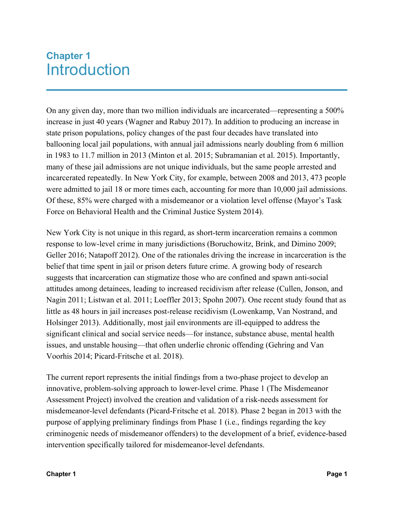## **Chapter 1** Introduction

On any given day, more than two million individuals are incarcerated—representing a 500% increase in just 40 years (Wagner and Rabuy 2017). In addition to producing an increase in state prison populations, policy changes of the past four decades have translated into ballooning local jail populations, with annual jail admissions nearly doubling from 6 million in 1983 to 11.7 million in 2013 (Minton et al. 2015; Subramanian et al. 2015). Importantly, many of these jail admissions are not unique individuals, but the same people arrested and incarcerated repeatedly. In New York City, for example, between 2008 and 2013, 473 people were admitted to jail 18 or more times each, accounting for more than 10,000 jail admissions. Of these, 85% were charged with a misdemeanor or a violation level offense (Mayor's Task Force on Behavioral Health and the Criminal Justice System 2014).

New York City is not unique in this regard, as short-term incarceration remains a common response to low-level crime in many jurisdictions (Boruchowitz, Brink, and Dimino 2009; Geller 2016; Natapoff 2012). One of the rationales driving the increase in incarceration is the belief that time spent in jail or prison deters future crime. A growing body of research suggests that incarceration can stigmatize those who are confined and spawn anti-social attitudes among detainees, leading to increased recidivism after release (Cullen, Jonson, and Nagin 2011; Listwan et al. 2011; Loeffler 2013; Spohn 2007). One recent study found that as little as 48 hours in jail increases post-release recidivism (Lowenkamp, Van Nostrand, and Holsinger 2013). Additionally, most jail environments are ill-equipped to address the significant clinical and social service needs—for instance, substance abuse, mental health issues, and unstable housing—that often underlie chronic offending (Gehring and Van Voorhis 2014; Picard-Fritsche et al. 2018).

The current report represents the initial findings from a two-phase project to develop an innovative, problem-solving approach to lower-level crime. Phase 1 (The Misdemeanor Assessment Project) involved the creation and validation of a risk-needs assessment for misdemeanor-level defendants (Picard-Fritsche et al. 2018). Phase 2 began in 2013 with the purpose of applying preliminary findings from Phase 1 (i.e., findings regarding the key criminogenic needs of misdemeanor offenders) to the development of a brief, evidence-based intervention specifically tailored for misdemeanor-level defendants.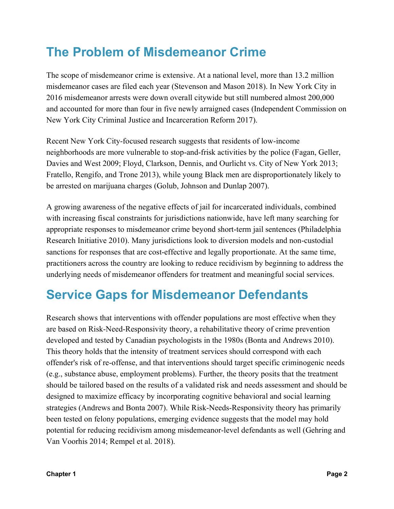## **The Problem of Misdemeanor Crime**

The scope of misdemeanor crime is extensive. At a national level, more than 13.2 million misdemeanor cases are filed each year (Stevenson and Mason 2018). In New York City in 2016 misdemeanor arrests were down overall citywide but still numbered almost 200,000 and accounted for more than four in five newly arraigned cases (Independent Commission on New York City Criminal Justice and Incarceration Reform 2017).

Recent New York City-focused research suggests that residents of low-income neighborhoods are more vulnerable to stop-and-frisk activities by the police (Fagan, Geller, Davies and West 2009; Floyd, Clarkson, Dennis, and Ourlicht vs. City of New York 2013; Fratello, Rengifo, and Trone 2013), while young Black men are disproportionately likely to be arrested on marijuana charges (Golub, Johnson and Dunlap 2007).

A growing awareness of the negative effects of jail for incarcerated individuals, combined with increasing fiscal constraints for jurisdictions nationwide, have left many searching for appropriate responses to misdemeanor crime beyond short-term jail sentences (Philadelphia Research Initiative 2010). Many jurisdictions look to diversion models and non-custodial sanctions for responses that are cost-effective and legally proportionate. At the same time, practitioners across the country are looking to reduce recidivism by beginning to address the underlying needs of misdemeanor offenders for treatment and meaningful social services.

## **Service Gaps for Misdemeanor Defendants**

Research shows that interventions with offender populations are most effective when they are based on Risk-Need-Responsivity theory, a rehabilitative theory of crime prevention developed and tested by Canadian psychologists in the 1980s (Bonta and Andrews 2010). This theory holds that the intensity of treatment services should correspond with each offender's risk of re-offense, and that interventions should target specific criminogenic needs (e.g., substance abuse, employment problems). Further, the theory posits that the treatment should be tailored based on the results of a validated risk and needs assessment and should be designed to maximize efficacy by incorporating cognitive behavioral and social learning strategies (Andrews and Bonta 2007). While Risk-Needs-Responsivity theory has primarily been tested on felony populations, emerging evidence suggests that the model may hold potential for reducing recidivism among misdemeanor-level defendants as well (Gehring and Van Voorhis 2014; Rempel et al. 2018).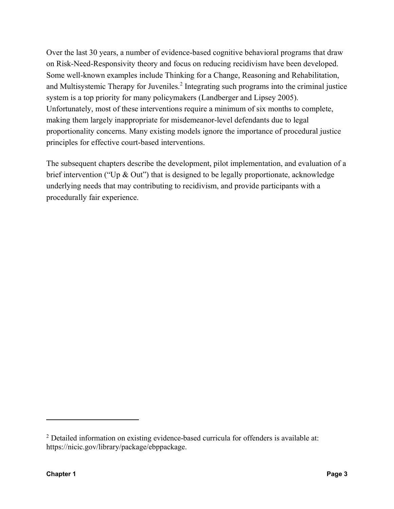Over the last 30 years, a number of evidence-based cognitive behavioral programs that draw on Risk-Need-Responsivity theory and focus on reducing recidivism have been developed. Some well-known examples include Thinking for a Change, Reasoning and Rehabilitation, and Multisystemic Therapy for Juveniles.<sup>2</sup> Integrating such programs into the criminal justice system is a top priority for many policymakers (Landberger and Lipsey 2005). Unfortunately, most of these interventions require a minimum of six months to complete, making them largely inappropriate for misdemeanor-level defendants due to legal proportionality concerns. Many existing models ignore the importance of procedural justice principles for effective court-based interventions.

The subsequent chapters describe the development, pilot implementation, and evaluation of a brief intervention ("Up  $\&$  Out") that is designed to be legally proportionate, acknowledge underlying needs that may contributing to recidivism, and provide participants with a procedurally fair experience.

<sup>2</sup> Detailed information on existing evidence-based curricula for offenders is available at: https://nicic.gov/library/package/ebppackage.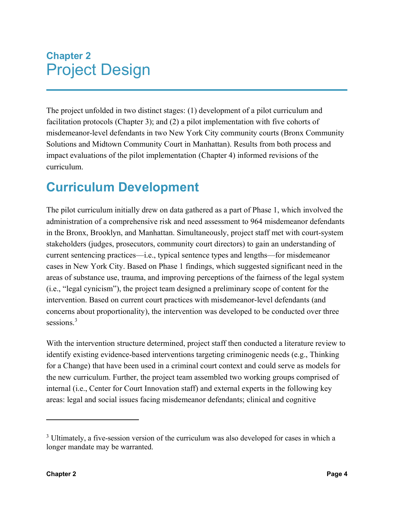## **Chapter 2** Project Design

The project unfolded in two distinct stages: (1) development of a pilot curriculum and facilitation protocols (Chapter 3); and (2) a pilot implementation with five cohorts of misdemeanor-level defendants in two New York City community courts (Bronx Community Solutions and Midtown Community Court in Manhattan). Results from both process and impact evaluations of the pilot implementation (Chapter 4) informed revisions of the curriculum.

## **Curriculum Development**

The pilot curriculum initially drew on data gathered as a part of Phase 1, which involved the administration of a comprehensive risk and need assessment to 964 misdemeanor defendants in the Bronx, Brooklyn, and Manhattan. Simultaneously, project staff met with court-system stakeholders (judges, prosecutors, community court directors) to gain an understanding of current sentencing practices—i.e., typical sentence types and lengths—for misdemeanor cases in New York City. Based on Phase 1 findings, which suggested significant need in the areas of substance use, trauma, and improving perceptions of the fairness of the legal system (i.e., "legal cynicism"), the project team designed a preliminary scope of content for the intervention. Based on current court practices with misdemeanor-level defendants (and concerns about proportionality), the intervention was developed to be conducted over three sessions.<sup>3</sup>

With the intervention structure determined, project staff then conducted a literature review to identify existing evidence-based interventions targeting criminogenic needs (e.g., Thinking for a Change) that have been used in a criminal court context and could serve as models for the new curriculum. Further, the project team assembled two working groups comprised of internal (i.e., Center for Court Innovation staff) and external experts in the following key areas: legal and social issues facing misdemeanor defendants; clinical and cognitive

<sup>&</sup>lt;sup>3</sup> Ultimately, a five-session version of the curriculum was also developed for cases in which a longer mandate may be warranted.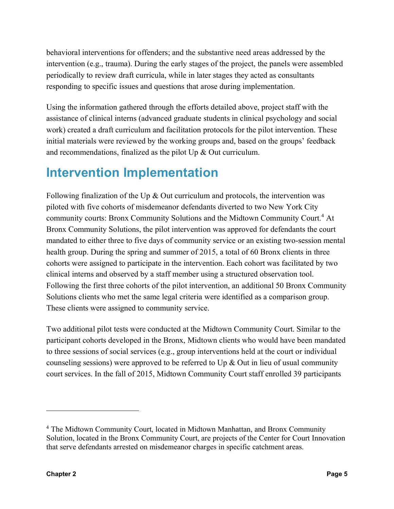behavioral interventions for offenders; and the substantive need areas addressed by the intervention (e.g., trauma). During the early stages of the project, the panels were assembled periodically to review draft curricula, while in later stages they acted as consultants responding to specific issues and questions that arose during implementation.

Using the information gathered through the efforts detailed above, project staff with the assistance of clinical interns (advanced graduate students in clinical psychology and social work) created a draft curriculum and facilitation protocols for the pilot intervention. These initial materials were reviewed by the working groups and, based on the groups' feedback and recommendations, finalized as the pilot Up & Out curriculum.

## **Intervention Implementation**

Following finalization of the Up  $\&$  Out curriculum and protocols, the intervention was piloted with five cohorts of misdemeanor defendants diverted to two New York City community courts: Bronx Community Solutions and the Midtown Community Court.<sup>4</sup> At Bronx Community Solutions, the pilot intervention was approved for defendants the court mandated to either three to five days of community service or an existing two-session mental health group. During the spring and summer of 2015, a total of 60 Bronx clients in three cohorts were assigned to participate in the intervention. Each cohort was facilitated by two clinical interns and observed by a staff member using a structured observation tool. Following the first three cohorts of the pilot intervention, an additional 50 Bronx Community Solutions clients who met the same legal criteria were identified as a comparison group. These clients were assigned to community service.

Two additional pilot tests were conducted at the Midtown Community Court. Similar to the participant cohorts developed in the Bronx, Midtown clients who would have been mandated to three sessions of social services (e.g., group interventions held at the court or individual counseling sessions) were approved to be referred to Up  $\&$  Out in lieu of usual community court services. In the fall of 2015, Midtown Community Court staff enrolled 39 participants

<sup>4</sup> The Midtown Community Court, located in Midtown Manhattan, and Bronx Community Solution, located in the Bronx Community Court, are projects of the Center for Court Innovation that serve defendants arrested on misdemeanor charges in specific catchment areas.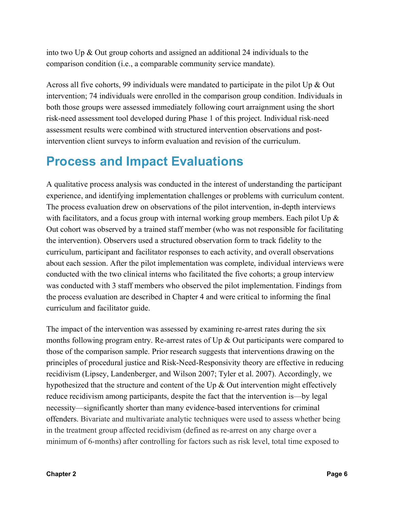into two Up & Out group cohorts and assigned an additional 24 individuals to the comparison condition (i.e., a comparable community service mandate).

Across all five cohorts, 99 individuals were mandated to participate in the pilot Up & Out intervention; 74 individuals were enrolled in the comparison group condition. Individuals in both those groups were assessed immediately following court arraignment using the short risk-need assessment tool developed during Phase 1 of this project. Individual risk-need assessment results were combined with structured intervention observations and postintervention client surveys to inform evaluation and revision of the curriculum.

## **Process and Impact Evaluations**

A qualitative process analysis was conducted in the interest of understanding the participant experience, and identifying implementation challenges or problems with curriculum content. The process evaluation drew on observations of the pilot intervention, in-depth interviews with facilitators, and a focus group with internal working group members. Each pilot Up  $\&$ Out cohort was observed by a trained staff member (who was not responsible for facilitating the intervention). Observers used a structured observation form to track fidelity to the curriculum, participant and facilitator responses to each activity, and overall observations about each session. After the pilot implementation was complete, individual interviews were conducted with the two clinical interns who facilitated the five cohorts; a group interview was conducted with 3 staff members who observed the pilot implementation. Findings from the process evaluation are described in Chapter 4 and were critical to informing the final curriculum and facilitator guide.

The impact of the intervention was assessed by examining re-arrest rates during the six months following program entry. Re-arrest rates of Up & Out participants were compared to those of the comparison sample. Prior research suggests that interventions drawing on the principles of procedural justice and Risk-Need-Responsivity theory are effective in reducing recidivism (Lipsey, Landenberger, and Wilson 2007; Tyler et al. 2007). Accordingly, we hypothesized that the structure and content of the Up & Out intervention might effectively reduce recidivism among participants, despite the fact that the intervention is—by legal necessity—significantly shorter than many evidence-based interventions for criminal offenders. Bivariate and multivariate analytic techniques were used to assess whether being in the treatment group affected recidivism (defined as re-arrest on any charge over a minimum of 6-months) after controlling for factors such as risk level, total time exposed to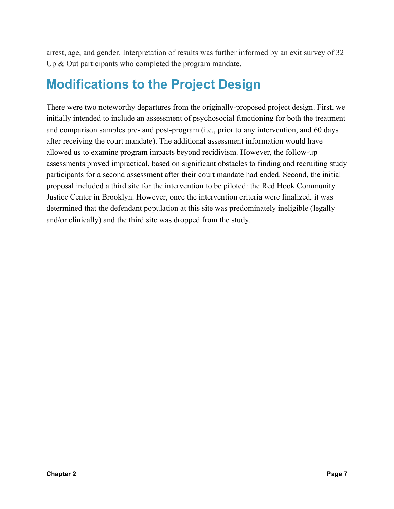arrest, age, and gender. Interpretation of results was further informed by an exit survey of 32 Up & Out participants who completed the program mandate.

## **Modifications to the Project Design**

There were two noteworthy departures from the originally-proposed project design. First, we initially intended to include an assessment of psychosocial functioning for both the treatment and comparison samples pre- and post-program (i.e., prior to any intervention, and 60 days after receiving the court mandate). The additional assessment information would have allowed us to examine program impacts beyond recidivism. However, the follow-up assessments proved impractical, based on significant obstacles to finding and recruiting study participants for a second assessment after their court mandate had ended. Second, the initial proposal included a third site for the intervention to be piloted: the Red Hook Community Justice Center in Brooklyn. However, once the intervention criteria were finalized, it was determined that the defendant population at this site was predominately ineligible (legally and/or clinically) and the third site was dropped from the study.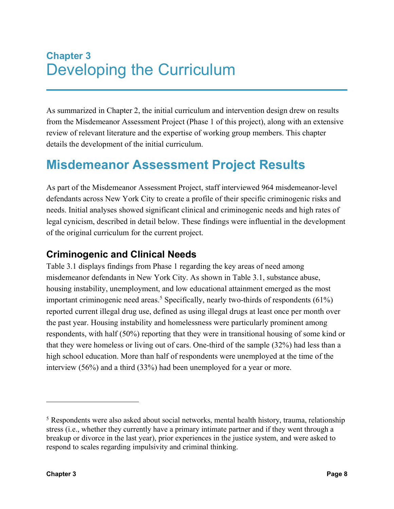## **Chapter 3** Developing the Curriculum

As summarized in Chapter 2, the initial curriculum and intervention design drew on results from the Misdemeanor Assessment Project (Phase 1 of this project), along with an extensive review of relevant literature and the expertise of working group members. This chapter details the development of the initial curriculum.

## **Misdemeanor Assessment Project Results**

As part of the Misdemeanor Assessment Project, staff interviewed 964 misdemeanor-level defendants across New York City to create a profile of their specific criminogenic risks and needs. Initial analyses showed significant clinical and criminogenic needs and high rates of legal cynicism, described in detail below. These findings were influential in the development of the original curriculum for the current project.

#### **Criminogenic and Clinical Needs**

Table 3.1 displays findings from Phase 1 regarding the key areas of need among misdemeanor defendants in New York City. As shown in Table 3.1, substance abuse, housing instability, unemployment, and low educational attainment emerged as the most important criminogenic need areas. <sup>5</sup> Specifically, nearly two-thirds of respondents (61%) reported current illegal drug use, defined as using illegal drugs at least once per month over the past year. Housing instability and homelessness were particularly prominent among respondents, with half (50%) reporting that they were in transitional housing of some kind or that they were homeless or living out of cars. One-third of the sample (32%) had less than a high school education. More than half of respondents were unemployed at the time of the interview (56%) and a third (33%) had been unemployed for a year or more.

 $\overline{a}$ 

<sup>5</sup> Respondents were also asked about social networks, mental health history, trauma, relationship stress (i.e., whether they currently have a primary intimate partner and if they went through a breakup or divorce in the last year), prior experiences in the justice system, and were asked to respond to scales regarding impulsivity and criminal thinking.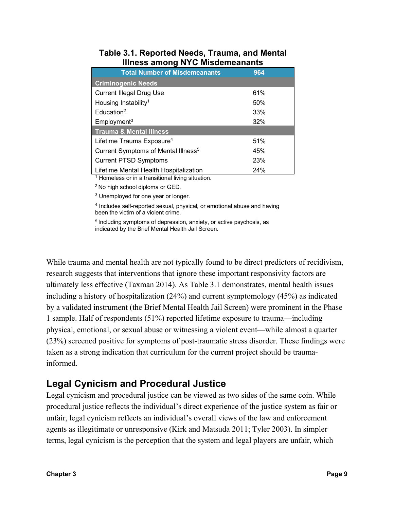| <b>Total Number of Misdemeanants</b>                 | 964 |
|------------------------------------------------------|-----|
| <b>Criminogenic Needs</b>                            |     |
| <b>Current Illegal Drug Use</b>                      | 61% |
| Housing Instability <sup>1</sup>                     | 50% |
| Education <sup>2</sup>                               | 33% |
| Employment <sup>3</sup>                              | 32% |
| <b>Trauma &amp; Mental Illness</b>                   |     |
| Lifetime Trauma Exposure <sup>4</sup>                | 51% |
| Current Symptoms of Mental Illness <sup>5</sup>      | 45% |
| <b>Current PTSD Symptoms</b>                         | 23% |
| Lifetime Mental Health Hospitalization<br>.<br><br>. | 24% |

#### **Table 3.1. Reported Needs, Trauma, and Mental Illness among NYC Misdemeanants**

<sup>1</sup> Homeless or in a transitional living situation.

2 No high school diploma or GED.

<sup>3</sup> Unemployed for one year or longer.

<sup>4</sup> Includes self-reported sexual, physical, or emotional abuse and having been the victim of a violent crime.

<sup>5</sup> Including symptoms of depression, anxiety, or active psychosis, as indicated by the Brief Mental Health Jail Screen.

While trauma and mental health are not typically found to be direct predictors of recidivism, research suggests that interventions that ignore these important responsivity factors are ultimately less effective (Taxman 2014). As Table 3.1 demonstrates, mental health issues including a history of hospitalization (24%) and current symptomology (45%) as indicated by a validated instrument (the Brief Mental Health Jail Screen) were prominent in the Phase 1 sample. Half of respondents (51%) reported lifetime exposure to trauma—including physical, emotional, or sexual abuse or witnessing a violent event—while almost a quarter (23%) screened positive for symptoms of post-traumatic stress disorder. These findings were taken as a strong indication that curriculum for the current project should be traumainformed.

#### **Legal Cynicism and Procedural Justice**

Legal cynicism and procedural justice can be viewed as two sides of the same coin. While procedural justice reflects the individual's direct experience of the justice system as fair or unfair, legal cynicism reflects an individual's overall views of the law and enforcement agents as illegitimate or unresponsive (Kirk and Matsuda 2011; Tyler 2003). In simpler terms, legal cynicism is the perception that the system and legal players are unfair, which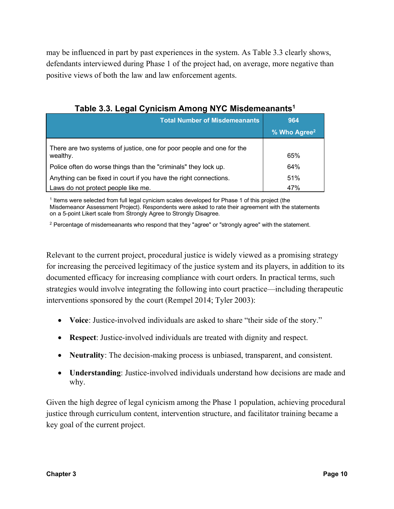may be influenced in part by past experiences in the system. As Table 3.3 clearly shows, defendants interviewed during Phase 1 of the project had, on average, more negative than positive views of both the law and law enforcement agents.

| <b>Total Number of Misdemeanants</b>                                              | 964                      |  |
|-----------------------------------------------------------------------------------|--------------------------|--|
|                                                                                   | % Who Agree <sup>2</sup> |  |
| There are two systems of justice, one for poor people and one for the<br>wealthy. | 65%                      |  |
| Police often do worse things than the "criminals" they lock up.                   | 64%                      |  |
| Anything can be fixed in court if you have the right connections.                 | 51%                      |  |
| Laws do not protect people like me.                                               | 47%                      |  |

**Table 3.3. Legal Cynicism Among NYC Misdemeanants1**

<sup>1</sup> Items were selected from full legal cynicism scales developed for Phase 1 of this project (the Misdemeanor Assessment Project). Respondents were asked to rate their agreement with the statements on a 5-point Likert scale from Strongly Agree to Strongly Disagree.

<sup>2</sup> Percentage of misdemeanants who respond that they "agree" or "strongly agree" with the statement.

Relevant to the current project, procedural justice is widely viewed as a promising strategy for increasing the perceived legitimacy of the justice system and its players, in addition to its documented efficacy for increasing compliance with court orders. In practical terms, such strategies would involve integrating the following into court practice—including therapeutic interventions sponsored by the court (Rempel 2014; Tyler 2003):

- **Voice**: Justice-involved individuals are asked to share "their side of the story."
- **Respect**: Justice-involved individuals are treated with dignity and respect.
- **Neutrality**: The decision-making process is unbiased, transparent, and consistent.
- **Understanding**: Justice-involved individuals understand how decisions are made and why.

Given the high degree of legal cynicism among the Phase 1 population, achieving procedural justice through curriculum content, intervention structure, and facilitator training became a key goal of the current project.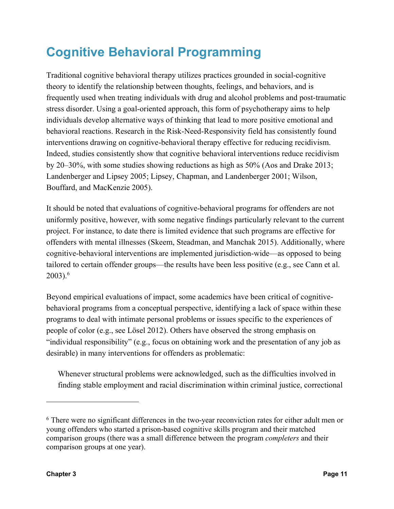## **Cognitive Behavioral Programming**

Traditional cognitive behavioral therapy utilizes practices grounded in social-cognitive theory to identify the relationship between thoughts, feelings, and behaviors, and is frequently used when treating individuals with drug and alcohol problems and post-traumatic stress disorder. Using a goal-oriented approach, this form of psychotherapy aims to help individuals develop alternative ways of thinking that lead to more positive emotional and behavioral reactions. Research in the Risk-Need-Responsivity field has consistently found interventions drawing on cognitive-behavioral therapy effective for reducing recidivism. Indeed, studies consistently show that cognitive behavioral interventions reduce recidivism by 20–30%, with some studies showing reductions as high as 50% (Aos and Drake 2013; Landenberger and Lipsey 2005; Lipsey, Chapman, and Landenberger 2001; Wilson, Bouffard, and MacKenzie 2005).

It should be noted that evaluations of cognitive-behavioral programs for offenders are not uniformly positive, however, with some negative findings particularly relevant to the current project. For instance, to date there is limited evidence that such programs are effective for offenders with mental illnesses (Skeem, Steadman, and Manchak 2015). Additionally, where cognitive-behavioral interventions are implemented jurisdiction-wide—as opposed to being tailored to certain offender groups—the results have been less positive (e.g., see Cann et al.  $2003$ ).<sup>6</sup>

Beyond empirical evaluations of impact, some academics have been critical of cognitivebehavioral programs from a conceptual perspective, identifying a lack of space within these programs to deal with intimate personal problems or issues specific to the experiences of people of color (e.g., see Lösel 2012). Others have observed the strong emphasis on "individual responsibility" (e.g., focus on obtaining work and the presentation of any job as desirable) in many interventions for offenders as problematic:

Whenever structural problems were acknowledged, such as the difficulties involved in finding stable employment and racial discrimination within criminal justice, correctional

 $\overline{a}$ 

<sup>6</sup> There were no significant differences in the two-year reconviction rates for either adult men or young offenders who started a prison-based cognitive skills program and their matched comparison groups (there was a small difference between the program *completers* and their comparison groups at one year).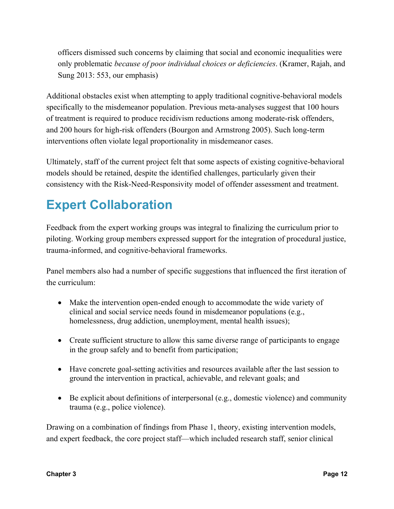officers dismissed such concerns by claiming that social and economic inequalities were only problematic *because of poor individual choices or deficiencies*. (Kramer, Rajah, and Sung 2013: 553, our emphasis)

Additional obstacles exist when attempting to apply traditional cognitive-behavioral models specifically to the misdemeanor population. Previous meta-analyses suggest that 100 hours of treatment is required to produce recidivism reductions among moderate-risk offenders, and 200 hours for high-risk offenders (Bourgon and Armstrong 2005). Such long-term interventions often violate legal proportionality in misdemeanor cases.

Ultimately, staff of the current project felt that some aspects of existing cognitive-behavioral models should be retained, despite the identified challenges, particularly given their consistency with the Risk-Need-Responsivity model of offender assessment and treatment.

## **Expert Collaboration**

Feedback from the expert working groups was integral to finalizing the curriculum prior to piloting. Working group members expressed support for the integration of procedural justice, trauma-informed, and cognitive-behavioral frameworks.

Panel members also had a number of specific suggestions that influenced the first iteration of the curriculum:

- Make the intervention open-ended enough to accommodate the wide variety of clinical and social service needs found in misdemeanor populations (e.g., homelessness, drug addiction, unemployment, mental health issues);
- Create sufficient structure to allow this same diverse range of participants to engage in the group safely and to benefit from participation;
- Have concrete goal-setting activities and resources available after the last session to ground the intervention in practical, achievable, and relevant goals; and
- Be explicit about definitions of interpersonal (e.g., domestic violence) and community trauma (e.g., police violence).

Drawing on a combination of findings from Phase 1, theory, existing intervention models, and expert feedback, the core project staff—which included research staff, senior clinical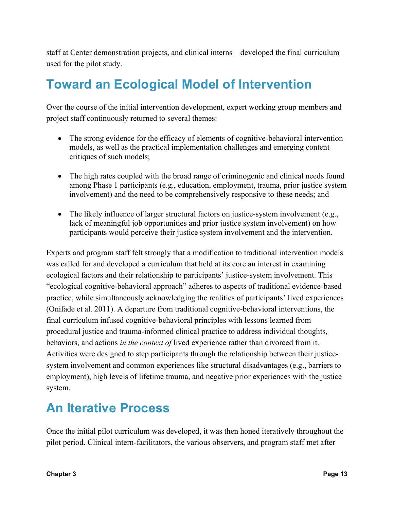staff at Center demonstration projects, and clinical interns—developed the final curriculum used for the pilot study.

## **Toward an Ecological Model of Intervention**

Over the course of the initial intervention development, expert working group members and project staff continuously returned to several themes:

- The strong evidence for the efficacy of elements of cognitive-behavioral intervention models, as well as the practical implementation challenges and emerging content critiques of such models;
- The high rates coupled with the broad range of criminogenic and clinical needs found among Phase 1 participants (e.g., education, employment, trauma, prior justice system involvement) and the need to be comprehensively responsive to these needs; and
- The likely influence of larger structural factors on justice-system involvement (e.g., lack of meaningful job opportunities and prior justice system involvement) on how participants would perceive their justice system involvement and the intervention.

Experts and program staff felt strongly that a modification to traditional intervention models was called for and developed a curriculum that held at its core an interest in examining ecological factors and their relationship to participants' justice-system involvement. This "ecological cognitive-behavioral approach" adheres to aspects of traditional evidence-based practice, while simultaneously acknowledging the realities of participants' lived experiences (Onifade et al. 2011). A departure from traditional cognitive-behavioral interventions, the final curriculum infused cognitive-behavioral principles with lessons learned from procedural justice and trauma-informed clinical practice to address individual thoughts, behaviors, and actions *in the context of* lived experience rather than divorced from it. Activities were designed to step participants through the relationship between their justicesystem involvement and common experiences like structural disadvantages (e.g., barriers to employment), high levels of lifetime trauma, and negative prior experiences with the justice system.

## **An Iterative Process**

Once the initial pilot curriculum was developed, it was then honed iteratively throughout the pilot period. Clinical intern-facilitators, the various observers, and program staff met after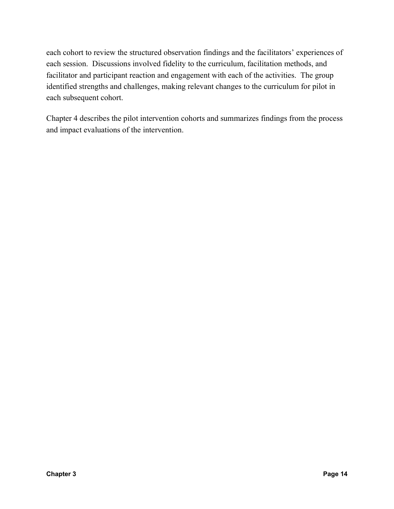each cohort to review the structured observation findings and the facilitators' experiences of each session. Discussions involved fidelity to the curriculum, facilitation methods, and facilitator and participant reaction and engagement with each of the activities. The group identified strengths and challenges, making relevant changes to the curriculum for pilot in each subsequent cohort.

Chapter 4 describes the pilot intervention cohorts and summarizes findings from the process and impact evaluations of the intervention.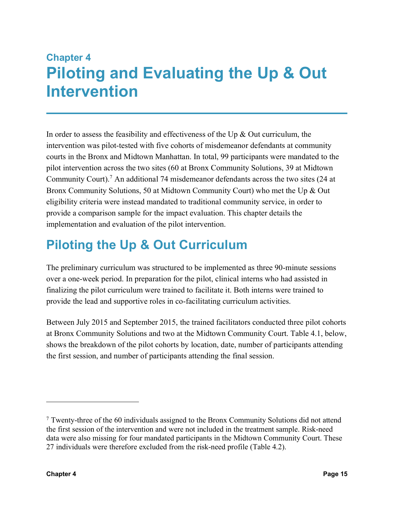## **Chapter 4 Piloting and Evaluating the Up & Out Intervention**

In order to assess the feasibility and effectiveness of the Up  $\&$  Out curriculum, the intervention was pilot-tested with five cohorts of misdemeanor defendants at community courts in the Bronx and Midtown Manhattan. In total, 99 participants were mandated to the pilot intervention across the two sites (60 at Bronx Community Solutions, 39 at Midtown Community Court). <sup>7</sup> An additional 74 misdemeanor defendants across the two sites (24 at Bronx Community Solutions, 50 at Midtown Community Court) who met the Up & Out eligibility criteria were instead mandated to traditional community service, in order to provide a comparison sample for the impact evaluation. This chapter details the implementation and evaluation of the pilot intervention.

## **Piloting the Up & Out Curriculum**

The preliminary curriculum was structured to be implemented as three 90-minute sessions over a one-week period. In preparation for the pilot, clinical interns who had assisted in finalizing the pilot curriculum were trained to facilitate it. Both interns were trained to provide the lead and supportive roles in co-facilitating curriculum activities.

Between July 2015 and September 2015, the trained facilitators conducted three pilot cohorts at Bronx Community Solutions and two at the Midtown Community Court. Table 4.1, below, shows the breakdown of the pilot cohorts by location, date, number of participants attending the first session, and number of participants attending the final session.

 $\overline{a}$ 

 $\frac{7}{1}$  Twenty-three of the 60 individuals assigned to the Bronx Community Solutions did not attend the first session of the intervention and were not included in the treatment sample. Risk-need data were also missing for four mandated participants in the Midtown Community Court. These 27 individuals were therefore excluded from the risk-need profile (Table 4.2).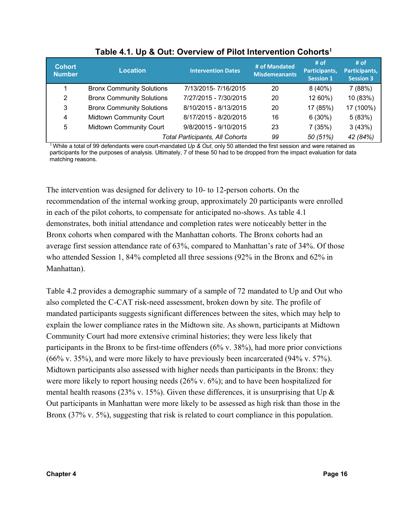| <b>Cohort</b><br><b>Number</b> | <b>Location</b>                  | <b>Intervention Dates</b>              | # of Mandated<br><b>Misdemeanants</b> | # of<br>Participants,<br><b>Session 1</b> | # of<br>Participants,<br><b>Session 3</b> |
|--------------------------------|----------------------------------|----------------------------------------|---------------------------------------|-------------------------------------------|-------------------------------------------|
|                                | <b>Bronx Community Solutions</b> | 7/13/2015-7/16/2015                    | 20                                    | $8(40\%)$                                 | 7(88%)                                    |
| 2                              | <b>Bronx Community Solutions</b> | 7/27/2015 - 7/30/2015                  | 20                                    | 12 60%)                                   | 10 (83%)                                  |
| 3                              | <b>Bronx Community Solutions</b> | 8/10/2015 - 8/13/2015                  | 20                                    | 17 (85%)                                  | 17 (100%)                                 |
| 4                              | <b>Midtown Community Court</b>   | 8/17/2015 - 8/20/2015                  | 16                                    | 6(30%)                                    | 5(83%)                                    |
| 5                              | <b>Midtown Community Court</b>   | 9/8/20015 - 9/10/2015                  | 23                                    | 7(35%)                                    | 3(43%)                                    |
|                                |                                  | <b>Total Participants, All Cohorts</b> | 99                                    | 50 (51%)                                  | 42 (84%)                                  |

**Table 4.1. Up & Out: Overview of Pilot Intervention Cohorts<sup>1</sup>**

1 While a total of 99 defendants were court-mandated *Up & Out*, only 50 attended the first session and were retained as participants for the purposes of analysis. Ultimately, 7 of these 50 had to be dropped from the impact evaluation for data matching reasons.

The intervention was designed for delivery to 10- to 12-person cohorts. On the recommendation of the internal working group, approximately 20 participants were enrolled in each of the pilot cohorts, to compensate for anticipated no-shows. As table 4.1 demonstrates, both initial attendance and completion rates were noticeably better in the Bronx cohorts when compared with the Manhattan cohorts. The Bronx cohorts had an average first session attendance rate of 63%, compared to Manhattan's rate of 34%. Of those who attended Session 1, 84% completed all three sessions (92% in the Bronx and 62% in Manhattan).

Table 4.2 provides a demographic summary of a sample of 72 mandated to Up and Out who also completed the C-CAT risk-need assessment, broken down by site. The profile of mandated participants suggests significant differences between the sites, which may help to explain the lower compliance rates in the Midtown site. As shown, participants at Midtown Community Court had more extensive criminal histories; they were less likely that participants in the Bronx to be first-time offenders (6% v. 38%), had more prior convictions (66% v. 35%), and were more likely to have previously been incarcerated (94% v. 57%). Midtown participants also assessed with higher needs than participants in the Bronx: they were more likely to report housing needs (26% v. 6%); and to have been hospitalized for mental health reasons (23% v. 15%). Given these differences, it is unsurprising that Up  $\&$ Out participants in Manhattan were more likely to be assessed as high risk than those in the Bronx (37% v. 5%), suggesting that risk is related to court compliance in this population.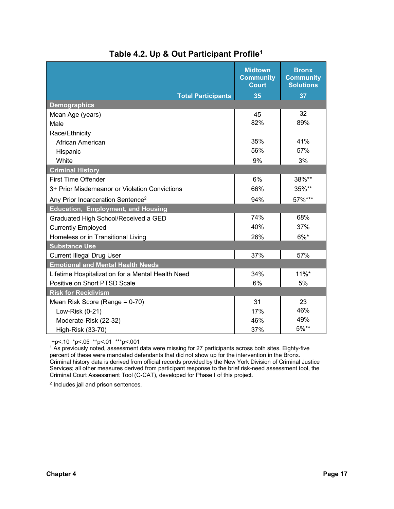|                                                   | <b>Midtown</b><br><b>Community</b><br><b>Court</b> | <b>Bronx</b><br><b>Community</b><br><b>Solutions</b> |
|---------------------------------------------------|----------------------------------------------------|------------------------------------------------------|
| <b>Total Participants</b>                         | 35                                                 | 37                                                   |
| <b>Demographics</b>                               |                                                    |                                                      |
| Mean Age (years)                                  | 45                                                 | 32                                                   |
| Male                                              | 82%                                                | 89%                                                  |
| Race/Ethnicity                                    |                                                    |                                                      |
| African American                                  | 35%                                                | 41%                                                  |
| Hispanic                                          | 56%                                                | 57%                                                  |
| White                                             | 9%                                                 | 3%                                                   |
| <b>Criminal History</b>                           |                                                    |                                                      |
| <b>First Time Offender</b>                        | 6%                                                 | 38%**                                                |
| 3+ Prior Misdemeanor or Violation Convictions     | 66%                                                | 35%**                                                |
| Any Prior Incarceration Sentence <sup>2</sup>     | 94%                                                | 57%***                                               |
| <b>Education, Employment, and Housing</b>         |                                                    |                                                      |
| Graduated High School/Received a GED              | 74%                                                | 68%                                                  |
| <b>Currently Employed</b>                         | 40%                                                | 37%                                                  |
| Homeless or in Transitional Living                | 26%                                                | $6\%$ *                                              |
| <b>Substance Use</b>                              |                                                    |                                                      |
| <b>Current Illegal Drug User</b>                  | 37%                                                | 57%                                                  |
| <b>Emotional and Mental Health Needs</b>          |                                                    |                                                      |
| Lifetime Hospitalization for a Mental Health Need | 34%                                                | $11\%$ *                                             |
| Positive on Short PTSD Scale                      | 6%                                                 | 5%                                                   |
| <b>Risk for Recidivism</b>                        |                                                    |                                                      |
| Mean Risk Score (Range = 0-70)                    | 31                                                 | 23                                                   |
| Low-Risk (0-21)                                   | 17%                                                | 46%                                                  |
| Moderate-Risk (22-32)                             | 46%                                                | 49%                                                  |
| High-Risk (33-70)                                 | 37%                                                | 5%**                                                 |

#### **Table 4.2. Up & Out Participant Profile1**

+p<.10 \*p<.05 \*\*p<.01 \*\*\*p<.001

<sup>1</sup> As previously noted, assessment data were missing for 27 participants across both sites. Eighty-five percent of these were mandated defendants that did not show up for the intervention in the Bronx. Criminal history data is derived from official records provided by the New York Division of Criminal Justice Services; all other measures derived from participant response to the brief risk-need assessment tool, the Criminal Court Assessment Tool (C-CAT), developed for Phase I of this project.

<sup>2</sup> Includes jail and prison sentences.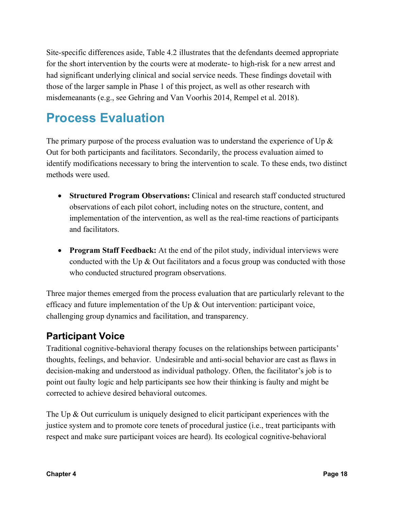Site-specific differences aside, Table 4.2 illustrates that the defendants deemed appropriate for the short intervention by the courts were at moderate- to high-risk for a new arrest and had significant underlying clinical and social service needs. These findings dovetail with those of the larger sample in Phase 1 of this project, as well as other research with misdemeanants (e.g., see Gehring and Van Voorhis 2014, Rempel et al. 2018).

## **Process Evaluation**

The primary purpose of the process evaluation was to understand the experience of Up  $\&$ Out for both participants and facilitators. Secondarily, the process evaluation aimed to identify modifications necessary to bring the intervention to scale. To these ends, two distinct methods were used.

- **Structured Program Observations:** Clinical and research staff conducted structured observations of each pilot cohort, including notes on the structure, content, and implementation of the intervention, as well as the real-time reactions of participants and facilitators.
- **Program Staff Feedback:** At the end of the pilot study, individual interviews were conducted with the Up  $\&$  Out facilitators and a focus group was conducted with those who conducted structured program observations.

Three major themes emerged from the process evaluation that are particularly relevant to the efficacy and future implementation of the Up & Out intervention: participant voice, challenging group dynamics and facilitation, and transparency.

#### **Participant Voice**

Traditional cognitive-behavioral therapy focuses on the relationships between participants' thoughts, feelings, and behavior. Undesirable and anti-social behavior are cast as flaws in decision-making and understood as individual pathology. Often, the facilitator's job is to point out faulty logic and help participants see how their thinking is faulty and might be corrected to achieve desired behavioral outcomes.

The Up & Out curriculum is uniquely designed to elicit participant experiences with the justice system and to promote core tenets of procedural justice (i.e., treat participants with respect and make sure participant voices are heard). Its ecological cognitive-behavioral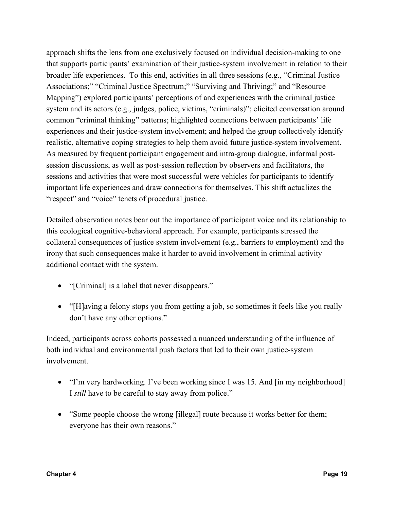approach shifts the lens from one exclusively focused on individual decision-making to one that supports participants' examination of their justice-system involvement in relation to their broader life experiences. To this end, activities in all three sessions (e.g., "Criminal Justice Associations;" "Criminal Justice Spectrum;" "Surviving and Thriving;" and "Resource Mapping") explored participants' perceptions of and experiences with the criminal justice system and its actors (e.g., judges, police, victims, "criminals)"; elicited conversation around common "criminal thinking" patterns; highlighted connections between participants' life experiences and their justice-system involvement; and helped the group collectively identify realistic, alternative coping strategies to help them avoid future justice-system involvement. As measured by frequent participant engagement and intra-group dialogue, informal postsession discussions, as well as post-session reflection by observers and facilitators, the sessions and activities that were most successful were vehicles for participants to identify important life experiences and draw connections for themselves. This shift actualizes the "respect" and "voice" tenets of procedural justice.

Detailed observation notes bear out the importance of participant voice and its relationship to this ecological cognitive-behavioral approach. For example, participants stressed the collateral consequences of justice system involvement (e.g., barriers to employment) and the irony that such consequences make it harder to avoid involvement in criminal activity additional contact with the system.

- "[Criminal] is a label that never disappears."
- "[H]aving a felony stops you from getting a job, so sometimes it feels like you really don't have any other options."

Indeed, participants across cohorts possessed a nuanced understanding of the influence of both individual and environmental push factors that led to their own justice-system involvement.

- "I'm very hardworking. I've been working since I was 15. And [in my neighborhood] I *still* have to be careful to stay away from police."
- "Some people choose the wrong [illegal] route because it works better for them; everyone has their own reasons."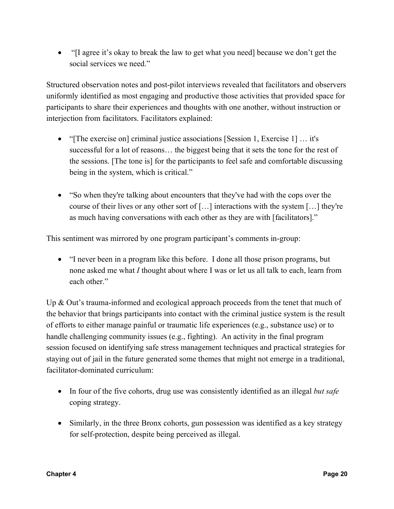• "[I agree it's okay to break the law to get what you need] because we don't get the social services we need."

Structured observation notes and post-pilot interviews revealed that facilitators and observers uniformly identified as most engaging and productive those activities that provided space for participants to share their experiences and thoughts with one another, without instruction or interjection from facilitators. Facilitators explained:

- "[The exercise on] criminal justice associations [Session 1, Exercise 1] … it's successful for a lot of reasons… the biggest being that it sets the tone for the rest of the sessions. [The tone is] for the participants to feel safe and comfortable discussing being in the system, which is critical."
- "So when they're talking about encounters that they've had with the cops over the course of their lives or any other sort of […] interactions with the system […] they're as much having conversations with each other as they are with [facilitators]."

This sentiment was mirrored by one program participant's comments in-group:

• "I never been in a program like this before. I done all those prison programs, but none asked me what *I* thought about where I was or let us all talk to each, learn from each other."

Up & Out's trauma-informed and ecological approach proceeds from the tenet that much of the behavior that brings participants into contact with the criminal justice system is the result of efforts to either manage painful or traumatic life experiences (e.g., substance use) or to handle challenging community issues (e.g., fighting). An activity in the final program session focused on identifying safe stress management techniques and practical strategies for staying out of jail in the future generated some themes that might not emerge in a traditional, facilitator-dominated curriculum:

- In four of the five cohorts, drug use was consistently identified as an illegal *but safe* coping strategy.
- Similarly, in the three Bronx cohorts, gun possession was identified as a key strategy for self-protection, despite being perceived as illegal.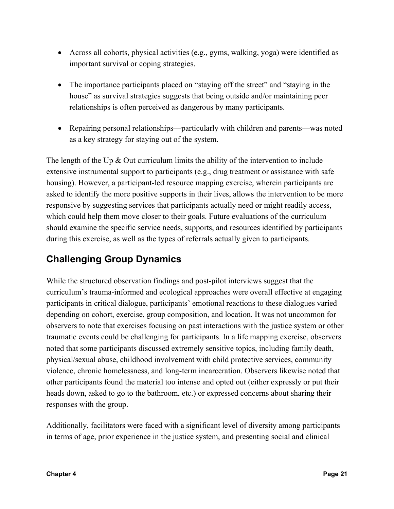- Across all cohorts, physical activities (e.g., gyms, walking, yoga) were identified as important survival or coping strategies.
- The importance participants placed on "staying off the street" and "staying in the house" as survival strategies suggests that being outside and/or maintaining peer relationships is often perceived as dangerous by many participants.
- Repairing personal relationships—particularly with children and parents—was noted as a key strategy for staying out of the system.

The length of the Up  $\&$  Out curriculum limits the ability of the intervention to include extensive instrumental support to participants (e.g., drug treatment or assistance with safe housing). However, a participant-led resource mapping exercise, wherein participants are asked to identify the more positive supports in their lives, allows the intervention to be more responsive by suggesting services that participants actually need or might readily access, which could help them move closer to their goals. Future evaluations of the curriculum should examine the specific service needs, supports, and resources identified by participants during this exercise, as well as the types of referrals actually given to participants.

#### **Challenging Group Dynamics**

While the structured observation findings and post-pilot interviews suggest that the curriculum's trauma-informed and ecological approaches were overall effective at engaging participants in critical dialogue, participants' emotional reactions to these dialogues varied depending on cohort, exercise, group composition, and location. It was not uncommon for observers to note that exercises focusing on past interactions with the justice system or other traumatic events could be challenging for participants. In a life mapping exercise, observers noted that some participants discussed extremely sensitive topics, including family death, physical/sexual abuse, childhood involvement with child protective services, community violence, chronic homelessness, and long-term incarceration. Observers likewise noted that other participants found the material too intense and opted out (either expressly or put their heads down, asked to go to the bathroom, etc.) or expressed concerns about sharing their responses with the group.

Additionally, facilitators were faced with a significant level of diversity among participants in terms of age, prior experience in the justice system, and presenting social and clinical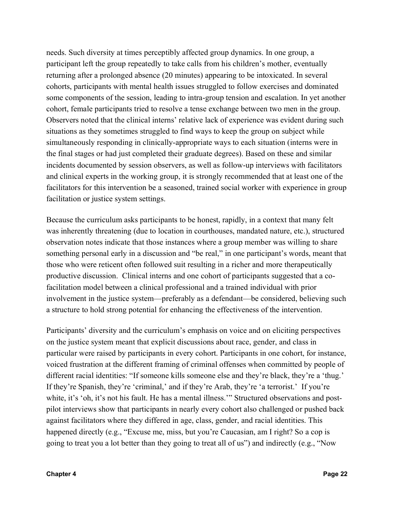needs. Such diversity at times perceptibly affected group dynamics. In one group, a participant left the group repeatedly to take calls from his children's mother, eventually returning after a prolonged absence (20 minutes) appearing to be intoxicated. In several cohorts, participants with mental health issues struggled to follow exercises and dominated some components of the session, leading to intra-group tension and escalation. In yet another cohort, female participants tried to resolve a tense exchange between two men in the group. Observers noted that the clinical interns' relative lack of experience was evident during such situations as they sometimes struggled to find ways to keep the group on subject while simultaneously responding in clinically-appropriate ways to each situation (interns were in the final stages or had just completed their graduate degrees). Based on these and similar incidents documented by session observers, as well as follow-up interviews with facilitators and clinical experts in the working group, it is strongly recommended that at least one of the facilitators for this intervention be a seasoned, trained social worker with experience in group facilitation or justice system settings.

Because the curriculum asks participants to be honest, rapidly, in a context that many felt was inherently threatening (due to location in courthouses, mandated nature, etc.), structured observation notes indicate that those instances where a group member was willing to share something personal early in a discussion and "be real," in one participant's words, meant that those who were reticent often followed suit resulting in a richer and more therapeutically productive discussion. Clinical interns and one cohort of participants suggested that a cofacilitation model between a clinical professional and a trained individual with prior involvement in the justice system—preferably as a defendant—be considered, believing such a structure to hold strong potential for enhancing the effectiveness of the intervention.

Participants' diversity and the curriculum's emphasis on voice and on eliciting perspectives on the justice system meant that explicit discussions about race, gender, and class in particular were raised by participants in every cohort. Participants in one cohort, for instance, voiced frustration at the different framing of criminal offenses when committed by people of different racial identities: "If someone kills someone else and they're black, they're a 'thug.' If they're Spanish, they're 'criminal,' and if they're Arab, they're 'a terrorist.' If you're white, it's 'oh, it's not his fault. He has a mental illness." Structured observations and postpilot interviews show that participants in nearly every cohort also challenged or pushed back against facilitators where they differed in age, class, gender, and racial identities. This happened directly (e.g., "Excuse me, miss, but you're Caucasian, am I right? So a cop is going to treat you a lot better than they going to treat all of us") and indirectly (e.g., "Now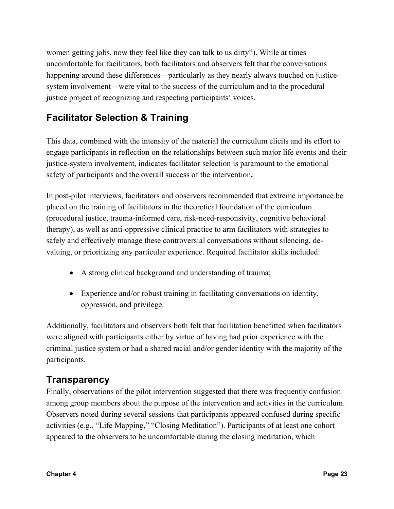women getting jobs, now they feel like they can talk to us dirty"). While at times uncomfortable for facilitators, both facilitators and observers felt that the conversations happening around these differences—particularly as they nearly always touched on justicesystem involvement—were vital to the success of the curriculum and to the procedural justice project of recognizing and respecting participants' voices.

#### **Facilitator Selection & Training**

This data, combined with the intensity of the material the curriculum elicits and its effort to engage participants in reflection on the relationships between such major life events and their justice-system involvement, indicates facilitator selection is paramount to the emotional safety of participants and the overall success of the intervention**.**

In post-pilot interviews, facilitators and observers recommended that extreme importance be placed on the training of facilitators in the theoretical foundation of the curriculum (procedural justice, trauma-informed care, risk-need-responsivity, cognitive behavioral therapy), as well as anti-oppressive clinical practice to arm facilitators with strategies to safely and effectively manage these controversial conversations without silencing, devaluing, or prioritizing any particular experience. Required facilitator skills included:

- A strong clinical background and understanding of trauma;
- Experience and/or robust training in facilitating conversations on identity, oppression, and privilege.

Additionally, facilitators and observers both felt that facilitation benefitted when facilitators were aligned with participants either by virtue of having had prior experience with the criminal justice system or had a shared racial and/or gender identity with the majority of the participants.

#### **Transparency**

Finally, observations of the pilot intervention suggested that there was frequently confusion among group members about the purpose of the intervention and activities in the curriculum. Observers noted during several sessions that participants appeared confused during specific activities (e.g., "Life Mapping," "Closing Meditation"). Participants of at least one cohort appeared to the observers to be uncomfortable during the closing meditation, which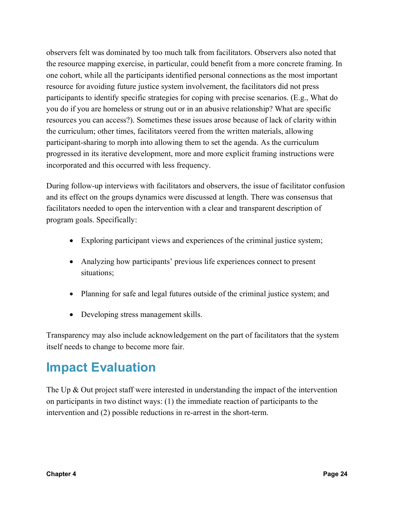observers felt was dominated by too much talk from facilitators. Observers also noted that the resource mapping exercise, in particular, could benefit from a more concrete framing. In one cohort, while all the participants identified personal connections as the most important resource for avoiding future justice system involvement, the facilitators did not press participants to identify specific strategies for coping with precise scenarios. (E.g., What do you do if you are homeless or strung out or in an abusive relationship? What are specific resources you can access?). Sometimes these issues arose because of lack of clarity within the curriculum; other times, facilitators veered from the written materials, allowing participant-sharing to morph into allowing them to set the agenda. As the curriculum progressed in its iterative development, more and more explicit framing instructions were incorporated and this occurred with less frequency.

During follow-up interviews with facilitators and observers, the issue of facilitator confusion and its effect on the groups dynamics were discussed at length. There was consensus that facilitators needed to open the intervention with a clear and transparent description of program goals. Specifically:

- Exploring participant views and experiences of the criminal justice system;
- Analyzing how participants' previous life experiences connect to present situations;
- Planning for safe and legal futures outside of the criminal justice system; and
- Developing stress management skills.

Transparency may also include acknowledgement on the part of facilitators that the system itself needs to change to become more fair.

## **Impact Evaluation**

The Up & Out project staff were interested in understanding the impact of the intervention on participants in two distinct ways: (1) the immediate reaction of participants to the intervention and (2) possible reductions in re-arrest in the short-term.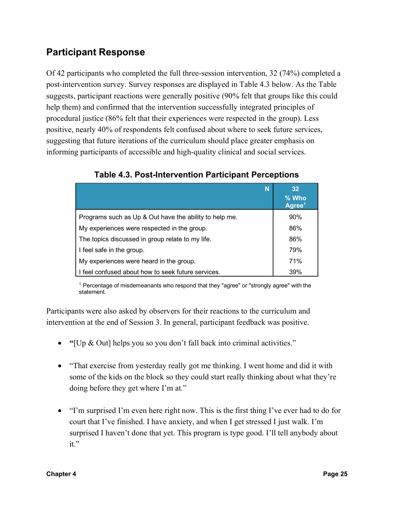#### **Participant Response**

Of 42 participants who completed the full three-session intervention, 32 (74%) completed a post-intervention survey. Survey responses are displayed in Table 4.3 below. As the Table suggests, participant reactions were generally positive (90% felt that groups like this could help them) and confirmed that the intervention successfully integrated principles of procedural justice (86% felt that their experiences were respected in the group). Less positive, nearly 40% of respondents felt confused about where to seek future services, suggesting that future iterations of the curriculum should place greater emphasis on informing participants of accessible and high-quality clinical and social services.

| N                                                      | 32 <sub>2</sub><br>% Who<br>Agree <sup>1</sup> |
|--------------------------------------------------------|------------------------------------------------|
| Programs such as Up & Out have the ability to help me. | 90%                                            |
| My experiences were respected in the group.            | 86%                                            |
| The topics discussed in group relate to my life.       | 86%                                            |
| I feel safe in the group.                              | 79%                                            |
| My experiences were heard in the group.                | 71%                                            |
| I feel confused about how to seek future services.     | 39%                                            |

**Table 4.3. Post-Intervention Participant Perceptions**

<sup>1</sup> Percentage of misdemeanants who respond that they "agree" or "strongly agree" with the statement.

Participants were also asked by observers for their reactions to the curriculum and intervention at the end of Session 3. In general, participant feedback was positive.

- **"**[Up & Out] helps you so you don't fall back into criminal activities."
- "That exercise from yesterday really got me thinking. I went home and did it with some of the kids on the block so they could start really thinking about what they're doing before they get where I'm at."
- "I'm surprised I'm even here right now. This is the first thing I've ever had to do for court that I've finished. I have anxiety, and when I get stressed I just walk. I'm surprised I haven't done that yet. This program is type good. I'll tell anybody about  $it$ "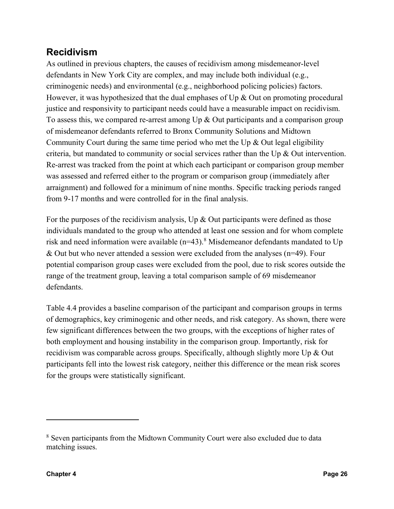#### **Recidivism**

As outlined in previous chapters, the causes of recidivism among misdemeanor-level defendants in New York City are complex, and may include both individual (e.g., criminogenic needs) and environmental (e.g., neighborhood policing policies) factors. However, it was hypothesized that the dual emphases of Up & Out on promoting procedural justice and responsivity to participant needs could have a measurable impact on recidivism. To assess this, we compared re-arrest among Up  $\&$  Out participants and a comparison group of misdemeanor defendants referred to Bronx Community Solutions and Midtown Community Court during the same time period who met the Up  $\&$  Out legal eligibility criteria, but mandated to community or social services rather than the Up & Out intervention. Re-arrest was tracked from the point at which each participant or comparison group member was assessed and referred either to the program or comparison group (immediately after arraignment) and followed for a minimum of nine months. Specific tracking periods ranged from 9-17 months and were controlled for in the final analysis.

For the purposes of the recidivism analysis, Up  $\&$  Out participants were defined as those individuals mandated to the group who attended at least one session and for whom complete risk and need information were available  $(n=43)$ .<sup>8</sup> Misdemeanor defendants mandated to Up & Out but who never attended a session were excluded from the analyses (n=49). Four potential comparison group cases were excluded from the pool, due to risk scores outside the range of the treatment group, leaving a total comparison sample of 69 misdemeanor defendants.

Table 4.4 provides a baseline comparison of the participant and comparison groups in terms of demographics, key criminogenic and other needs, and risk category. As shown, there were few significant differences between the two groups, with the exceptions of higher rates of both employment and housing instability in the comparison group. Importantly, risk for recidivism was comparable across groups. Specifically, although slightly more Up & Out participants fell into the lowest risk category, neither this difference or the mean risk scores for the groups were statistically significant.

<sup>8</sup> Seven participants from the Midtown Community Court were also excluded due to data matching issues.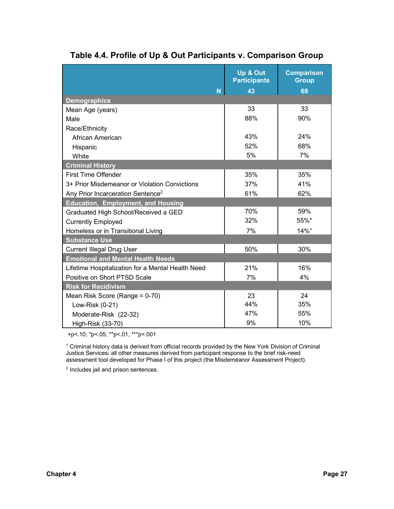|                                                   | Up & Out            | <b>Comparison</b>  |
|---------------------------------------------------|---------------------|--------------------|
|                                                   | <b>Participants</b> | <b>Group</b>       |
| N                                                 | 43                  | 69                 |
| <b>Demographics</b>                               |                     |                    |
| Mean Age (years)                                  | 33                  | 33                 |
| Male                                              | 88%                 | 90%                |
| Race/Ethnicity                                    |                     |                    |
| African American                                  | 43%                 | 24%                |
| Hispanic                                          | 52%                 | 68%                |
| White                                             | 5%                  | 7%                 |
| <b>Criminal History</b>                           |                     |                    |
| <b>First Time Offender</b>                        | 35%                 | 35%                |
| 3+ Prior Misdemeanor or Violation Convictions     | 37%                 | 41%                |
| Any Prior Incarceration Sentence <sup>2</sup>     | 61%                 | 62%                |
| <b>Education, Employment, and Housing</b>         |                     |                    |
| Graduated High School/Received a GED              | 70%                 | 59%                |
| <b>Currently Employed</b>                         | 32%                 | 55%*               |
| Homeless or in Transitional Living                | 7%                  | $14%$ <sup>+</sup> |
| <b>Substance Use</b>                              |                     |                    |
| <b>Current Illegal Drug User</b>                  | 50%                 | 30%                |
| <b>Emotional and Mental Health Needs</b>          |                     |                    |
| Lifetime Hospitalization for a Mental Health Need | 21%                 | 16%                |
| Positive on Short PTSD Scale                      | 7%                  | 4%                 |
| <b>Risk for Recidivism</b>                        |                     |                    |
| Mean Risk Score (Range = 0-70)                    | 23                  | 24                 |
| Low-Risk (0-21)                                   | 44%                 | 35%                |
| Moderate-Risk (22-32)                             | 47%                 | 55%                |
| High-Risk (33-70)                                 | 9%                  | 10%                |

#### **Table 4.4. Profile of Up & Out Participants v. Comparison Group**

+p<.10, \*p<.05, \*\*p<.01, \*\*\*p<.001

<sup>1</sup> Criminal history data is derived from official records provided by the New York Division of Criminal Justice Services; all other measures derived from participant response to the brief risk-need assessment tool developed for Phase I of this project (the Misdemeanor Assessment Project).

<sup>2</sup> Includes jail and prison sentences.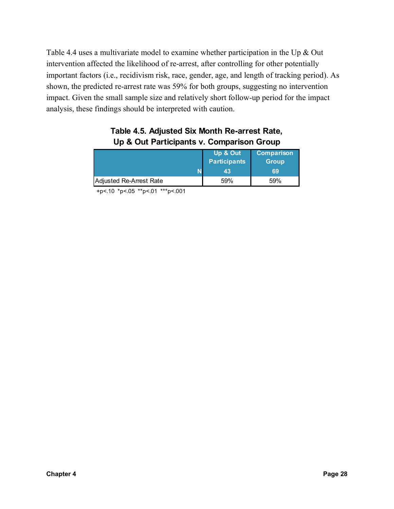Table 4.4 uses a multivariate model to examine whether participation in the Up & Out intervention affected the likelihood of re-arrest, after controlling for other potentially important factors (i.e., recidivism risk, race, gender, age, and length of tracking period). As shown, the predicted re-arrest rate was 59% for both groups, suggesting no intervention impact. Given the small sample size and relatively short follow-up period for the impact analysis, these findings should be interpreted with caution.

|                         | Up & Out<br><b>Participants</b><br>43 | <b>Comparison</b><br><b>Group</b><br>69 |
|-------------------------|---------------------------------------|-----------------------------------------|
| Adjusted Re-Arrest Rate | 59%                                   | 59%                                     |

#### **Table 4.5. Adjusted Six Month Re-arrest Rate, Up & Out Participants v. Comparison Group**

+p<.10 \*p<.05 \*\*p<.01 \*\*\*p<.001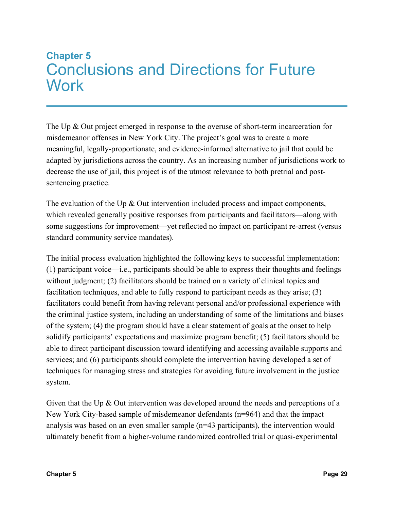## **Chapter 5** Conclusions and Directions for Future **Work**

The Up & Out project emerged in response to the overuse of short-term incarceration for misdemeanor offenses in New York City. The project's goal was to create a more meaningful, legally-proportionate, and evidence-informed alternative to jail that could be adapted by jurisdictions across the country. As an increasing number of jurisdictions work to decrease the use of jail, this project is of the utmost relevance to both pretrial and postsentencing practice.

The evaluation of the Up & Out intervention included process and impact components, which revealed generally positive responses from participants and facilitators—along with some suggestions for improvement—yet reflected no impact on participant re-arrest (versus standard community service mandates).

The initial process evaluation highlighted the following keys to successful implementation: (1) participant voice—i.e., participants should be able to express their thoughts and feelings without judgment; (2) facilitators should be trained on a variety of clinical topics and facilitation techniques, and able to fully respond to participant needs as they arise; (3) facilitators could benefit from having relevant personal and/or professional experience with the criminal justice system, including an understanding of some of the limitations and biases of the system; (4) the program should have a clear statement of goals at the onset to help solidify participants' expectations and maximize program benefit; (5) facilitators should be able to direct participant discussion toward identifying and accessing available supports and services; and (6) participants should complete the intervention having developed a set of techniques for managing stress and strategies for avoiding future involvement in the justice system.

Given that the Up & Out intervention was developed around the needs and perceptions of a New York City-based sample of misdemeanor defendants (n=964) and that the impact analysis was based on an even smaller sample (n=43 participants), the intervention would ultimately benefit from a higher-volume randomized controlled trial or quasi-experimental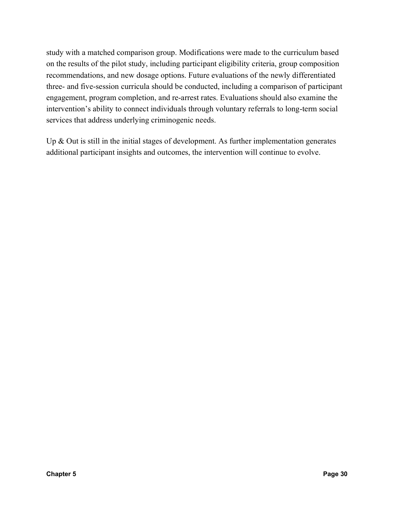study with a matched comparison group. Modifications were made to the curriculum based on the results of the pilot study, including participant eligibility criteria, group composition recommendations, and new dosage options. Future evaluations of the newly differentiated three- and five-session curricula should be conducted, including a comparison of participant engagement, program completion, and re-arrest rates. Evaluations should also examine the intervention's ability to connect individuals through voluntary referrals to long-term social services that address underlying criminogenic needs.

Up & Out is still in the initial stages of development. As further implementation generates additional participant insights and outcomes, the intervention will continue to evolve.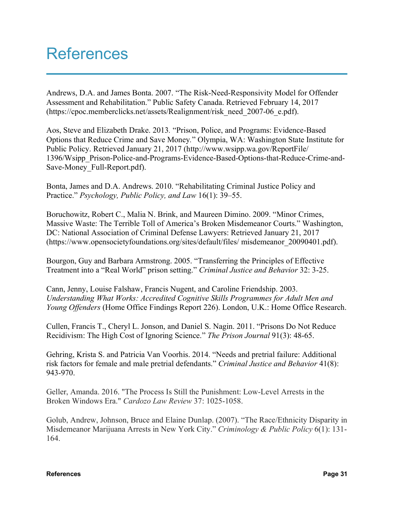## References

Andrews, D.A. and James Bonta. 2007. "The Risk-Need-Responsivity Model for Offender Assessment and Rehabilitation." Public Safety Canada. Retrieved February 14, 2017 (https://cpoc.memberclicks.net/assets/Realignment/risk\_need\_2007-06\_e.pdf).

Aos, Steve and Elizabeth Drake. 2013*.* "Prison, Police, and Programs: Evidence-Based Options that Reduce Crime and Save Money*.*" Olympia, WA: Washington State Institute for Public Policy. Retrieved January 21, 2017 (http://www.wsipp.wa.gov/ReportFile/ 1396/Wsipp\_Prison-Police-and-Programs-Evidence-Based-Options-that-Reduce-Crime-and-Save-Money\_Full-Report.pdf).

Bonta, James and D.A. Andrews. 2010. "Rehabilitating Criminal Justice Policy and Practice." *Psychology, Public Policy, and Law* 16(1): 39–55.

Boruchowitz, Robert C., Malia N. Brink, and Maureen Dimino. 2009. "Minor Crimes, Massive Waste: The Terrible Toll of America's Broken Misdemeanor Courts." Washington, DC: National Association of Criminal Defense Lawyers: Retrieved January 21, 2017 (https://www.opensocietyfoundations.org/sites/default/files/ misdemeanor\_20090401.pdf).

Bourgon, Guy and Barbara Armstrong. 2005. "Transferring the Principles of Effective Treatment into a "Real World" prison setting." *Criminal Justice and Behavior* 32: 3-25.

Cann, Jenny, Louise Falshaw, Francis Nugent, and Caroline Friendship. 2003. *Understanding What Works: Accredited Cognitive Skills Programmes for Adult Men and Young Offenders* (Home Office Findings Report 226). London, U.K.: Home Office Research.

Cullen, Francis T., Cheryl L. Jonson, and Daniel S. Nagin. 2011. "Prisons Do Not Reduce Recidivism: The High Cost of Ignoring Science." *The Prison Journal* 91(3): 48-65.

Gehring, Krista S. and Patricia Van Voorhis. 2014. "Needs and pretrial failure: Additional risk factors for female and male pretrial defendants." *Criminal Justice and Behavior* 41(8): 943-970.

Geller, Amanda. 2016. "The Process Is Still the Punishment: Low-Level Arrests in the Broken Windows Era." *Cardozo Law Review* 37: 1025-1058.

Golub, Andrew, Johnson, Bruce and Elaine Dunlap. (2007). "The Race/Ethnicity Disparity in Misdemeanor Marijuana Arrests in New York City." *Criminology & Public Policy* 6(1): 131- 164.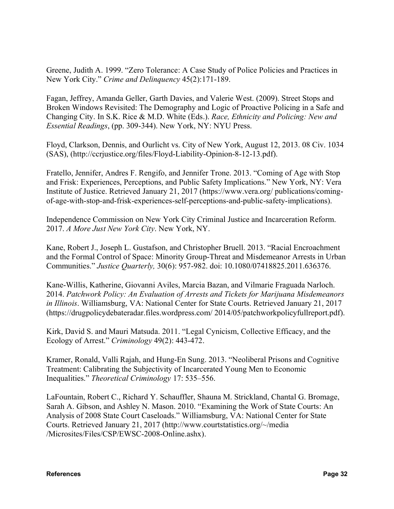Greene, Judith A. 1999. "Zero Tolerance: A Case Study of Police Policies and Practices in New York City." *Crime and Delinquency* 45(2):171-189.

Fagan, Jeffrey, Amanda Geller, Garth Davies, and Valerie West. (2009). Street Stops and Broken Windows Revisited: The Demography and Logic of Proactive Policing in a Safe and Changing City. In S.K. Rice & M.D. White (Eds.). *Race, Ethnicity and Policing: New and Essential Readings*, (pp. 309-344). New York, NY: NYU Press.

Floyd, Clarkson, Dennis, and Ourlicht vs. City of New York, August 12, 2013. 08 Civ. 1034 (SAS), (http://ccrjustice.org/files/Floyd-Liability-Opinion-8-12-13.pdf).

Fratello, Jennifer, Andres F. Rengifo, and Jennifer Trone. 2013. "Coming of Age with Stop and Frisk: Experiences, Perceptions, and Public Safety Implications." New York, NY: Vera Institute of Justice. Retrieved January 21, 2017 (https://www.vera.org/ publications/comingof-age-with-stop-and-frisk-experiences-self-perceptions-and-public-safety-implications).

Independence Commission on New York City Criminal Justice and Incarceration Reform. 2017. *A More Just New York City*. New York, NY.

Kane, Robert J., Joseph L. Gustafson, and Christopher Bruell. 2013. "Racial Encroachment and the Formal Control of Space: Minority Group-Threat and Misdemeanor Arrests in Urban Communities." *Justice Quarterly,* 30(6): 957-982. doi: 10.1080/07418825.2011.636376.

Kane-Willis, Katherine, Giovanni Aviles, Marcia Bazan, and Vilmarie Fraguada Narloch. 2014. *Patchwork Policy: An Evaluation of Arrests and Tickets for Marijuana Misdemeanors in Illinois*. Williamsburg, VA: National Center for State Courts. Retrieved January 21, 2017 (https://drugpolicydebateradar.files.wordpress.com/ 2014/05/patchworkpolicyfullreport.pdf).

Kirk, David S. and Mauri Matsuda. 2011. "Legal Cynicism, Collective Efficacy, and the Ecology of Arrest." *Criminology* 49(2): 443-472.

Kramer, Ronald, Valli Rajah, and Hung-En Sung. 2013. "Neoliberal Prisons and Cognitive Treatment: Calibrating the Subjectivity of Incarcerated Young Men to Economic Inequalities." *Theoretical Criminology* 17: 535–556.

LaFountain, Robert C., Richard Y. Schauffler, Shauna M. Strickland, Chantal G. Bromage, Sarah A. Gibson, and Ashley N. Mason. 2010. "Examining the Work of State Courts: An Analysis of 2008 State Court Caseloads." Williamsburg, VA: National Center for State Courts. Retrieved January 21, 2017 (http://www.courtstatistics.org/~/media /Microsites/Files/CSP/EWSC-2008-Online.ashx).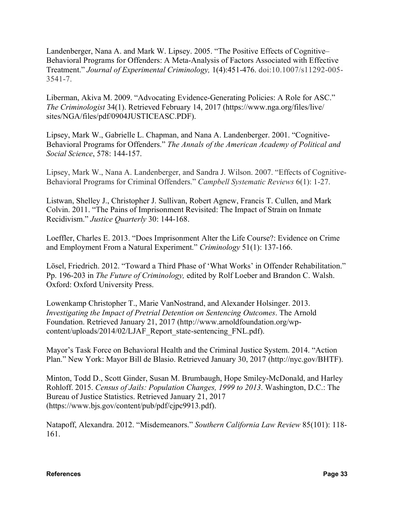Landenberger, Nana A. and Mark W. Lipsey. 2005. "The Positive Effects of Cognitive– Behavioral Programs for Offenders: A Meta-Analysis of Factors Associated with Effective Treatment." *Journal of Experimental Criminology,* 1(4):451-476. doi:10.1007/s11292-005- 3541-7.

Liberman, Akiva M. 2009. "Advocating Evidence-Generating Policies: A Role for ASC." *The Criminologist* 34(1). Retrieved February 14, 2017 (https://www.nga.org/files/live/ sites/NGA/files/pdf/0904JUSTICEASC.PDF).

Lipsey, Mark W., Gabrielle L. Chapman, and Nana A. Landenberger. 2001. "Cognitive-Behavioral Programs for Offenders." *The Annals of the American Academy of Political and Social Science*, 578: 144-157.

Lipsey, Mark W., Nana A. Landenberger, and Sandra J. Wilson. 2007. "Effects of Cognitive-Behavioral Programs for Criminal Offenders." *Campbell Systematic Reviews* 6(1): 1-27.

Listwan, Shelley J., Christopher J. Sullivan, Robert Agnew, Francis T. Cullen, and Mark Colvin. 2011. "The Pains of Imprisonment Revisited: The Impact of Strain on Inmate Recidivism." *Justice Quarterly* 30: 144-168.

Loeffler, Charles E. 2013. "Does Imprisonment Alter the Life Course?: Evidence on Crime and Employment From a Natural Experiment." *Criminology* 51(1): 137-166.

Lösel, Friedrich. 2012. "Toward a Third Phase of 'What Works' in Offender Rehabilitation." Pp. 196-203 in *The Future of Criminology,* edited by Rolf Loeber and Brandon C. Walsh. Oxford: Oxford University Press.

Lowenkamp Christopher T., Marie VanNostrand, and Alexander Holsinger. 2013. *Investigating the Impact of Pretrial Detention on Sentencing Outcomes*. The Arnold Foundation. Retrieved January 21, 2017 (http://www.arnoldfoundation.org/wpcontent/uploads/2014/02/LJAF\_Report\_state-sentencing\_FNL.pdf).

Mayor's Task Force on Behavioral Health and the Criminal Justice System. 2014. "Action Plan." New York: Mayor Bill de Blasio. Retrieved January 30, 2017 (http://nyc.gov/BHTF).

Minton, Todd D., Scott Ginder, Susan M. Brumbaugh, Hope Smiley-McDonald, and Harley Rohloff. 2015. *Census of Jails: Population Changes, 1999 to 2013*. Washington, D.C.: The Bureau of Justice Statistics. Retrieved January 21, 2017 (https://www.bjs.gov/content/pub/pdf/cjpc9913.pdf).

Natapoff, Alexandra. 2012. "Misdemeanors." *Southern California Law Review* 85(101): 118- 161.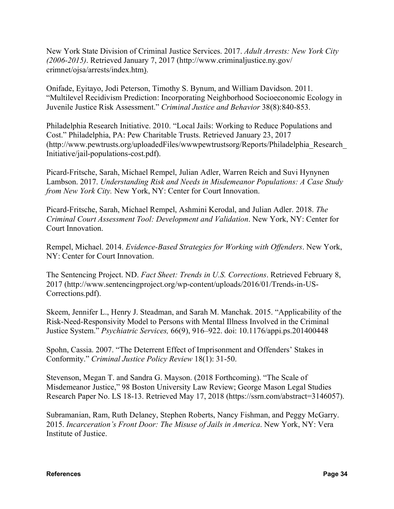New York State Division of Criminal Justice Services. 2017. *Adult Arrests: New York City (2006-2015)*. Retrieved January 7, 2017 (http://www.criminaljustice.ny.gov/ crimnet/ojsa/arrests/index.htm).

Onifade, Eyitayo, Jodi Peterson, Timothy S. Bynum, and William Davidson. 2011. "Multilevel Recidivism Prediction: Incorporating Neighborhood Socioeconomic Ecology in Juvenile Justice Risk Assessment." *Criminal Justice and Behavior* 38(8):840-853.

Philadelphia Research Initiative. 2010. "Local Jails: Working to Reduce Populations and Cost." Philadelphia, PA: Pew Charitable Trusts. Retrieved January 23, 2017 (http://www.pewtrusts.org/uploadedFiles/wwwpewtrustsorg/Reports/Philadelphia\_Research\_ Initiative/jail-populations-cost.pdf).

Picard-Fritsche, Sarah, Michael Rempel, Julian Adler, Warren Reich and Suvi Hynynen Lambson. 2017. *Understanding Risk and Needs in Misdemeanor Populations: A Case Study from New York City.* New York, NY: Center for Court Innovation.

Picard-Fritsche, Sarah, Michael Rempel, Ashmini Kerodal, and Julian Adler. 2018. *The Criminal Court Assessment Tool: Development and Validation*. New York, NY: Center for Court Innovation.

Rempel, Michael. 2014. *Evidence-Based Strategies for Working with Offenders*. New York, NY: Center for Court Innovation.

The Sentencing Project. ND. *Fact Sheet: Trends in U.S. Corrections*. Retrieved February 8, 2017 (http://www.sentencingproject.org/wp-content/uploads/2016/01/Trends-in-US-Corrections.pdf).

Skeem, Jennifer L., Henry J. Steadman, and Sarah M. Manchak. 2015. "Applicability of the Risk-Need-Responsivity Model to Persons with Mental Illness Involved in the Criminal Justice System." *Psychiatric Services,* 66(9), 916–922. doi: 10.1176/appi.ps.201400448

Spohn, Cassia. 2007. "The Deterrent Effect of Imprisonment and Offenders' Stakes in Conformity." *Criminal Justice Policy Review* 18(1): 31-50.

Stevenson, Megan T. and Sandra G. Mayson. (2018 Forthcoming). "The Scale of Misdemeanor Justice," 98 Boston University Law Review; George Mason Legal Studies Research Paper No. LS 18-13. Retrieved May 17, 2018 (https://ssrn.com/abstract=3146057).

Subramanian, Ram, Ruth Delaney, Stephen Roberts, Nancy Fishman, and Peggy McGarry. 2015. *Incarceration's Front Door: The Misuse of Jails in America*. New York, NY: Vera Institute of Justice.